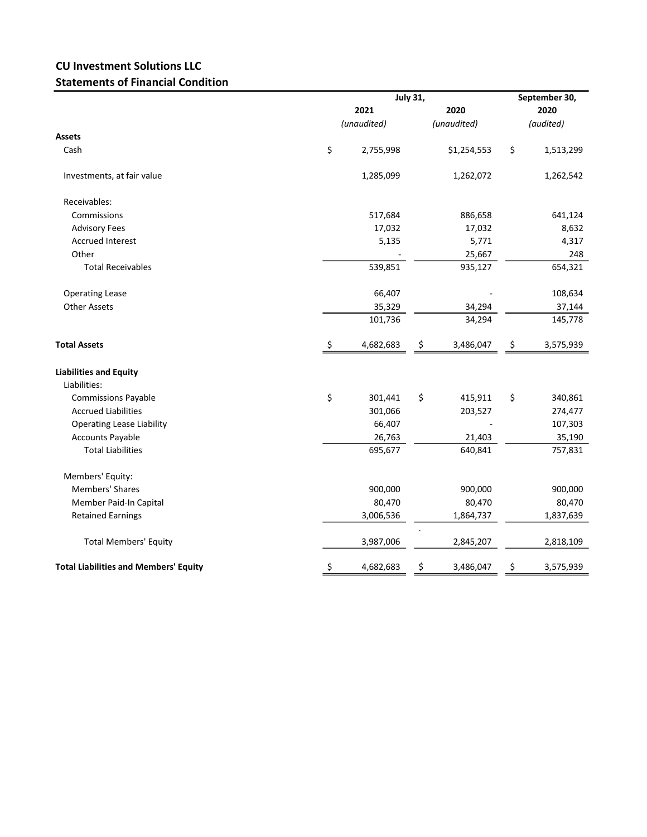## CU Investment Solutions LLC Statements of Financial Condition

|                                              |             | <b>July 31,</b> |             |             |           | September 30,<br>2020 |  |
|----------------------------------------------|-------------|-----------------|-------------|-------------|-----------|-----------------------|--|
|                                              | 2021        |                 |             | 2020        |           |                       |  |
|                                              | (unaudited) |                 | (unaudited) |             | (audited) |                       |  |
| <b>Assets</b>                                |             |                 |             |             |           |                       |  |
| Cash                                         | \$          | 2,755,998       |             | \$1,254,553 | \$        | 1,513,299             |  |
| Investments, at fair value                   |             | 1,285,099       |             | 1,262,072   |           | 1,262,542             |  |
| Receivables:                                 |             |                 |             |             |           |                       |  |
| Commissions                                  |             | 517,684         |             | 886,658     |           | 641,124               |  |
| <b>Advisory Fees</b>                         |             | 17,032          |             | 17,032      |           | 8,632                 |  |
| <b>Accrued Interest</b>                      |             | 5,135           |             | 5,771       |           | 4,317                 |  |
| Other                                        |             |                 |             | 25,667      |           | 248                   |  |
| <b>Total Receivables</b>                     |             | 539,851         |             | 935,127     |           | 654,321               |  |
| <b>Operating Lease</b>                       |             | 66,407          |             |             |           | 108,634               |  |
| <b>Other Assets</b>                          |             | 35,329          |             | 34,294      |           | 37,144                |  |
|                                              |             | 101,736         |             | 34,294      |           | 145,778               |  |
| <b>Total Assets</b>                          | \$          | 4,682,683       | \$          | 3,486,047   | \$        | 3,575,939             |  |
| <b>Liabilities and Equity</b>                |             |                 |             |             |           |                       |  |
| Liabilities:                                 |             |                 |             |             |           |                       |  |
| <b>Commissions Payable</b>                   | \$          | 301,441         | \$          | 415,911     | \$        | 340,861               |  |
| <b>Accrued Liabilities</b>                   |             | 301,066         |             | 203,527     |           | 274,477               |  |
| <b>Operating Lease Liability</b>             |             | 66,407          |             |             |           | 107,303               |  |
| <b>Accounts Payable</b>                      |             | 26,763          |             | 21,403      |           | 35,190                |  |
| <b>Total Liabilities</b>                     |             | 695,677         |             | 640,841     |           | 757,831               |  |
| Members' Equity:                             |             |                 |             |             |           |                       |  |
| <b>Members' Shares</b>                       |             | 900,000         |             | 900,000     |           | 900,000               |  |
| Member Paid-In Capital                       |             | 80,470          |             | 80,470      |           | 80,470                |  |
| <b>Retained Earnings</b>                     |             | 3,006,536       |             | 1,864,737   |           | 1,837,639             |  |
| <b>Total Members' Equity</b>                 |             | 3,987,006       |             | 2,845,207   |           | 2,818,109             |  |
| <b>Total Liabilities and Members' Equity</b> | \$          | 4,682,683       | \$          | 3,486,047   | \$        | 3,575,939             |  |